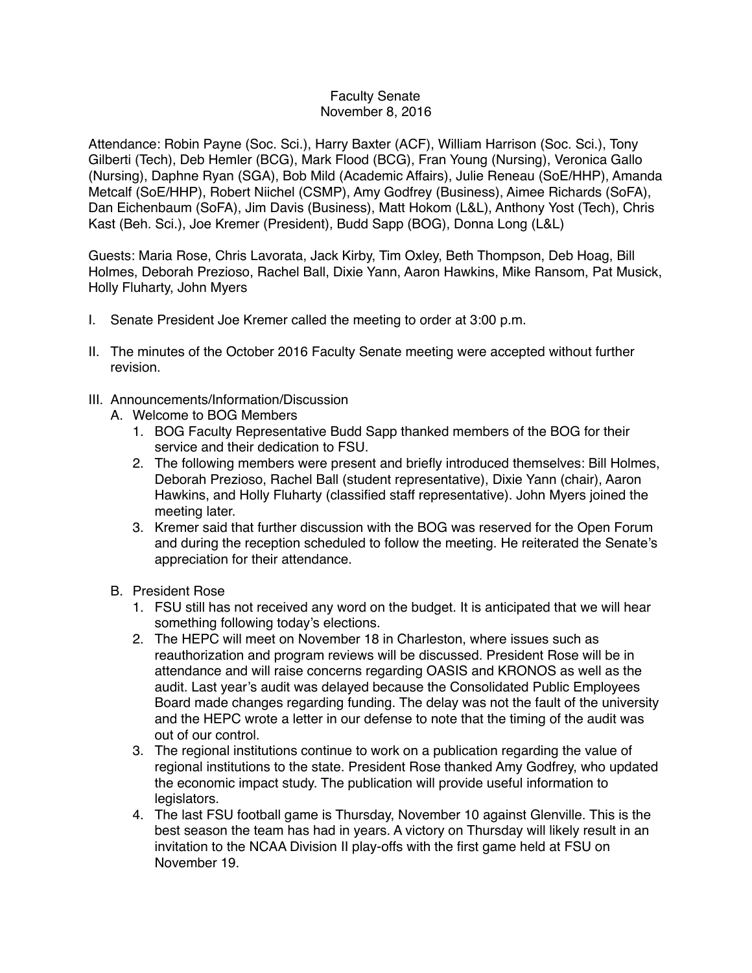## Faculty Senate November 8, 2016

Attendance: Robin Payne (Soc. Sci.), Harry Baxter (ACF), William Harrison (Soc. Sci.), Tony Gilberti (Tech), Deb Hemler (BCG), Mark Flood (BCG), Fran Young (Nursing), Veronica Gallo (Nursing), Daphne Ryan (SGA), Bob Mild (Academic Affairs), Julie Reneau (SoE/HHP), Amanda Metcalf (SoE/HHP), Robert Niichel (CSMP), Amy Godfrey (Business), Aimee Richards (SoFA), Dan Eichenbaum (SoFA), Jim Davis (Business), Matt Hokom (L&L), Anthony Yost (Tech), Chris Kast (Beh. Sci.), Joe Kremer (President), Budd Sapp (BOG), Donna Long (L&L)

Guests: Maria Rose, Chris Lavorata, Jack Kirby, Tim Oxley, Beth Thompson, Deb Hoag, Bill Holmes, Deborah Prezioso, Rachel Ball, Dixie Yann, Aaron Hawkins, Mike Ransom, Pat Musick, Holly Fluharty, John Myers

- I. Senate President Joe Kremer called the meeting to order at 3:00 p.m.
- II. The minutes of the October 2016 Faculty Senate meeting were accepted without further revision.
- III. Announcements/Information/Discussion
	- A. Welcome to BOG Members
		- 1. BOG Faculty Representative Budd Sapp thanked members of the BOG for their service and their dedication to FSU.
		- 2. The following members were present and briefly introduced themselves: Bill Holmes, Deborah Prezioso, Rachel Ball (student representative), Dixie Yann (chair), Aaron Hawkins, and Holly Fluharty (classified staff representative). John Myers joined the meeting later.
		- 3. Kremer said that further discussion with the BOG was reserved for the Open Forum and during the reception scheduled to follow the meeting. He reiterated the Senate's appreciation for their attendance.
	- B. President Rose
		- 1. FSU still has not received any word on the budget. It is anticipated that we will hear something following today's elections.
		- 2. The HEPC will meet on November 18 in Charleston, where issues such as reauthorization and program reviews will be discussed. President Rose will be in attendance and will raise concerns regarding OASIS and KRONOS as well as the audit. Last year's audit was delayed because the Consolidated Public Employees Board made changes regarding funding. The delay was not the fault of the university and the HEPC wrote a letter in our defense to note that the timing of the audit was out of our control.
		- 3. The regional institutions continue to work on a publication regarding the value of regional institutions to the state. President Rose thanked Amy Godfrey, who updated the economic impact study. The publication will provide useful information to legislators.
		- 4. The last FSU football game is Thursday, November 10 against Glenville. This is the best season the team has had in years. A victory on Thursday will likely result in an invitation to the NCAA Division II play-offs with the first game held at FSU on November 19.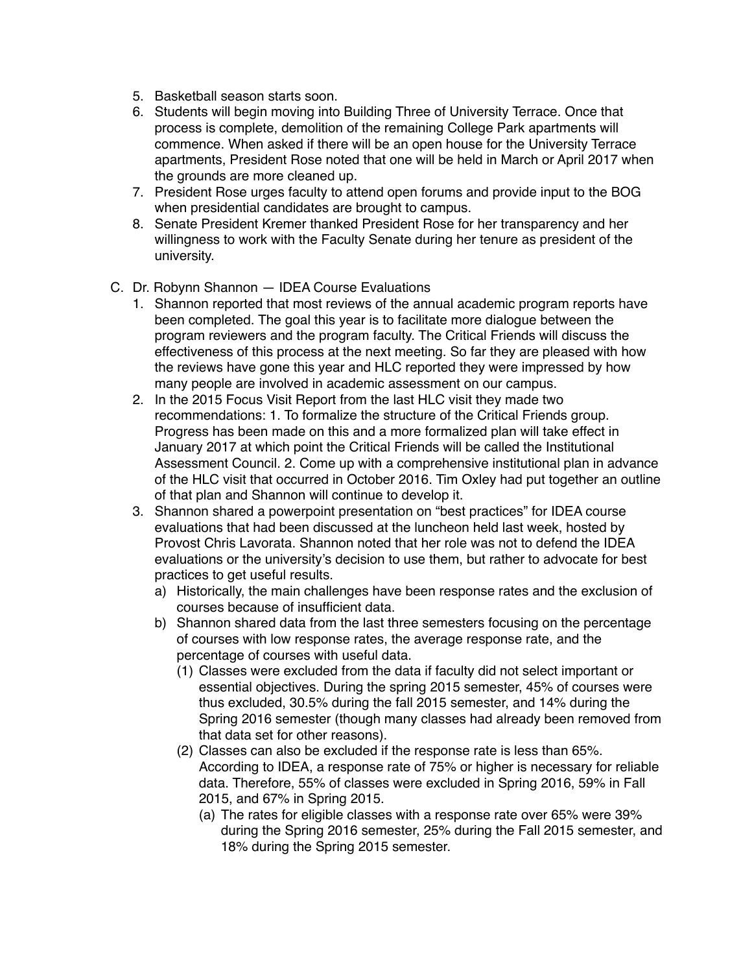- 5. Basketball season starts soon.
- 6. Students will begin moving into Building Three of University Terrace. Once that process is complete, demolition of the remaining College Park apartments will commence. When asked if there will be an open house for the University Terrace apartments, President Rose noted that one will be held in March or April 2017 when the grounds are more cleaned up.
- 7. President Rose urges faculty to attend open forums and provide input to the BOG when presidential candidates are brought to campus.
- 8. Senate President Kremer thanked President Rose for her transparency and her willingness to work with the Faculty Senate during her tenure as president of the university.
- C. Dr. Robynn Shannon IDEA Course Evaluations
	- 1. Shannon reported that most reviews of the annual academic program reports have been completed. The goal this year is to facilitate more dialogue between the program reviewers and the program faculty. The Critical Friends will discuss the effectiveness of this process at the next meeting. So far they are pleased with how the reviews have gone this year and HLC reported they were impressed by how many people are involved in academic assessment on our campus.
	- 2. In the 2015 Focus Visit Report from the last HLC visit they made two recommendations: 1. To formalize the structure of the Critical Friends group. Progress has been made on this and a more formalized plan will take effect in January 2017 at which point the Critical Friends will be called the Institutional Assessment Council. 2. Come up with a comprehensive institutional plan in advance of the HLC visit that occurred in October 2016. Tim Oxley had put together an outline of that plan and Shannon will continue to develop it.
	- 3. Shannon shared a powerpoint presentation on "best practices" for IDEA course evaluations that had been discussed at the luncheon held last week, hosted by Provost Chris Lavorata. Shannon noted that her role was not to defend the IDEA evaluations or the university's decision to use them, but rather to advocate for best practices to get useful results.
		- a) Historically, the main challenges have been response rates and the exclusion of courses because of insufficient data.
		- b) Shannon shared data from the last three semesters focusing on the percentage of courses with low response rates, the average response rate, and the percentage of courses with useful data.
			- (1) Classes were excluded from the data if faculty did not select important or essential objectives. During the spring 2015 semester, 45% of courses were thus excluded, 30.5% during the fall 2015 semester, and 14% during the Spring 2016 semester (though many classes had already been removed from that data set for other reasons).
			- (2) Classes can also be excluded if the response rate is less than 65%. According to IDEA, a response rate of 75% or higher is necessary for reliable data. Therefore, 55% of classes were excluded in Spring 2016, 59% in Fall 2015, and 67% in Spring 2015.
				- (a) The rates for eligible classes with a response rate over 65% were 39% during the Spring 2016 semester, 25% during the Fall 2015 semester, and 18% during the Spring 2015 semester.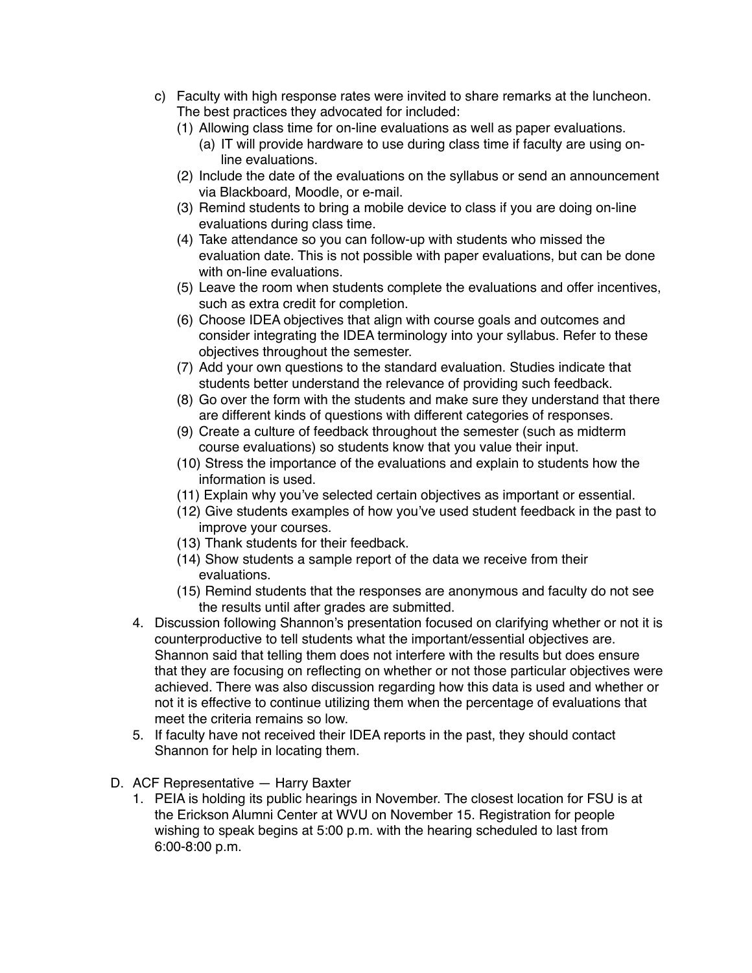- c) Faculty with high response rates were invited to share remarks at the luncheon. The best practices they advocated for included:
	- (1) Allowing class time for on-line evaluations as well as paper evaluations.
		- (a) IT will provide hardware to use during class time if faculty are using online evaluations.
	- (2) Include the date of the evaluations on the syllabus or send an announcement via Blackboard, Moodle, or e-mail.
	- (3) Remind students to bring a mobile device to class if you are doing on-line evaluations during class time.
	- (4) Take attendance so you can follow-up with students who missed the evaluation date. This is not possible with paper evaluations, but can be done with on-line evaluations.
	- (5) Leave the room when students complete the evaluations and offer incentives, such as extra credit for completion.
	- (6) Choose IDEA objectives that align with course goals and outcomes and consider integrating the IDEA terminology into your syllabus. Refer to these objectives throughout the semester.
	- (7) Add your own questions to the standard evaluation. Studies indicate that students better understand the relevance of providing such feedback.
	- (8) Go over the form with the students and make sure they understand that there are different kinds of questions with different categories of responses.
	- (9) Create a culture of feedback throughout the semester (such as midterm course evaluations) so students know that you value their input.
	- (10) Stress the importance of the evaluations and explain to students how the information is used.
	- (11) Explain why you've selected certain objectives as important or essential.
	- (12) Give students examples of how you've used student feedback in the past to improve your courses.
	- (13) Thank students for their feedback.
	- (14) Show students a sample report of the data we receive from their evaluations.
	- (15) Remind students that the responses are anonymous and faculty do not see the results until after grades are submitted.
- 4. Discussion following Shannon's presentation focused on clarifying whether or not it is counterproductive to tell students what the important/essential objectives are. Shannon said that telling them does not interfere with the results but does ensure that they are focusing on reflecting on whether or not those particular objectives were achieved. There was also discussion regarding how this data is used and whether or not it is effective to continue utilizing them when the percentage of evaluations that meet the criteria remains so low.
- 5. If faculty have not received their IDEA reports in the past, they should contact Shannon for help in locating them.
- D. ACF Representative Harry Baxter
	- 1. PEIA is holding its public hearings in November. The closest location for FSU is at the Erickson Alumni Center at WVU on November 15. Registration for people wishing to speak begins at 5:00 p.m. with the hearing scheduled to last from 6:00-8:00 p.m.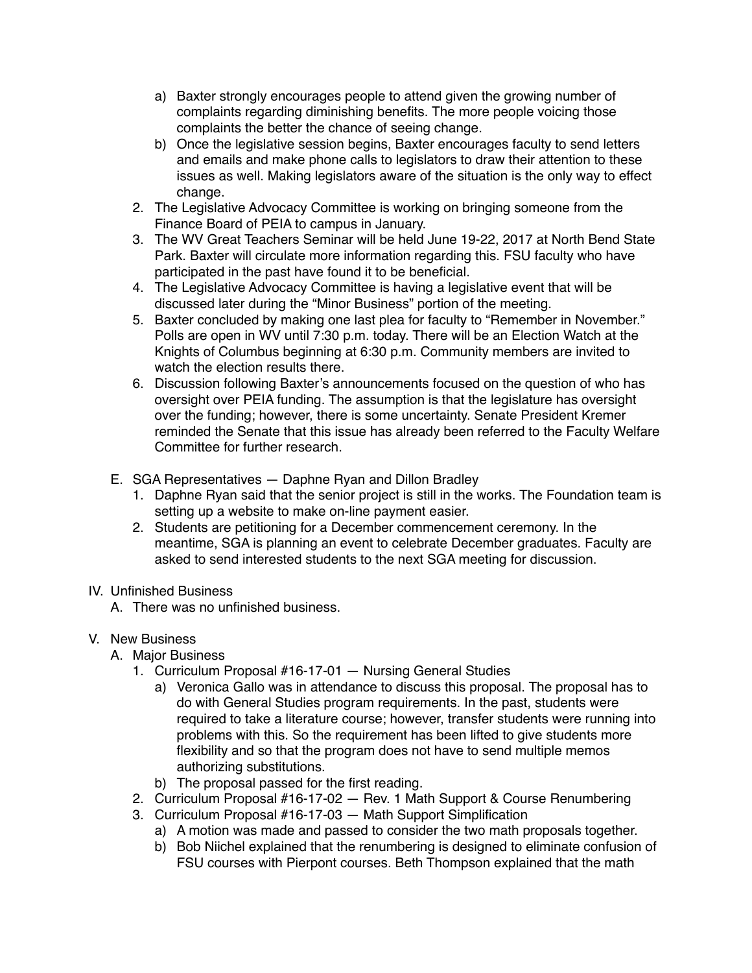- a) Baxter strongly encourages people to attend given the growing number of complaints regarding diminishing benefits. The more people voicing those complaints the better the chance of seeing change.
- b) Once the legislative session begins, Baxter encourages faculty to send letters and emails and make phone calls to legislators to draw their attention to these issues as well. Making legislators aware of the situation is the only way to effect change.
- 2. The Legislative Advocacy Committee is working on bringing someone from the Finance Board of PEIA to campus in January.
- 3. The WV Great Teachers Seminar will be held June 19-22, 2017 at North Bend State Park. Baxter will circulate more information regarding this. FSU faculty who have participated in the past have found it to be beneficial.
- 4. The Legislative Advocacy Committee is having a legislative event that will be discussed later during the "Minor Business" portion of the meeting.
- 5. Baxter concluded by making one last plea for faculty to "Remember in November." Polls are open in WV until 7:30 p.m. today. There will be an Election Watch at the Knights of Columbus beginning at 6:30 p.m. Community members are invited to watch the election results there.
- 6. Discussion following Baxter's announcements focused on the question of who has oversight over PEIA funding. The assumption is that the legislature has oversight over the funding; however, there is some uncertainty. Senate President Kremer reminded the Senate that this issue has already been referred to the Faculty Welfare Committee for further research.
- E. SGA Representatives Daphne Ryan and Dillon Bradley
	- 1. Daphne Ryan said that the senior project is still in the works. The Foundation team is setting up a website to make on-line payment easier.
	- 2. Students are petitioning for a December commencement ceremony. In the meantime, SGA is planning an event to celebrate December graduates. Faculty are asked to send interested students to the next SGA meeting for discussion.

## IV. Unfinished Business

A. There was no unfinished business.

## V. New Business

- A. Major Business
	- 1. Curriculum Proposal #16-17-01 Nursing General Studies
		- a) Veronica Gallo was in attendance to discuss this proposal. The proposal has to do with General Studies program requirements. In the past, students were required to take a literature course; however, transfer students were running into problems with this. So the requirement has been lifted to give students more flexibility and so that the program does not have to send multiple memos authorizing substitutions.
		- b) The proposal passed for the first reading.
	- 2. Curriculum Proposal #16-17-02 Rev. 1 Math Support & Course Renumbering
	- 3. Curriculum Proposal #16-17-03 Math Support Simplification
		- a) A motion was made and passed to consider the two math proposals together.
		- b) Bob Niichel explained that the renumbering is designed to eliminate confusion of FSU courses with Pierpont courses. Beth Thompson explained that the math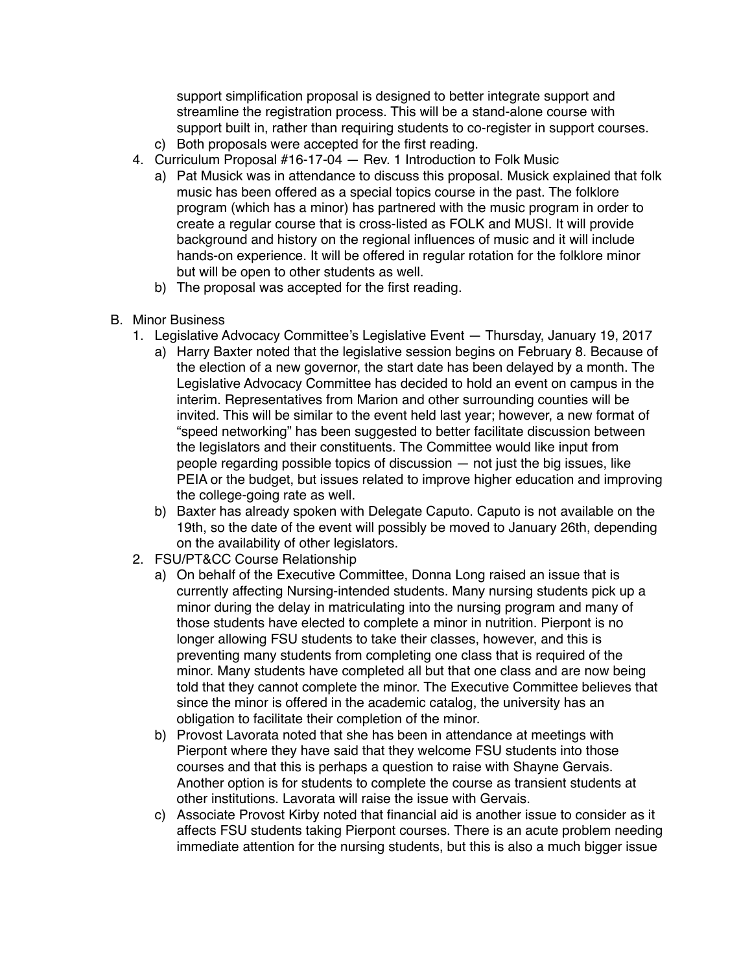support simplification proposal is designed to better integrate support and streamline the registration process. This will be a stand-alone course with support built in, rather than requiring students to co-register in support courses. c) Both proposals were accepted for the first reading.

- 4. Curriculum Proposal #16-17-04 Rev. 1 Introduction to Folk Music
	- a) Pat Musick was in attendance to discuss this proposal. Musick explained that folk music has been offered as a special topics course in the past. The folklore program (which has a minor) has partnered with the music program in order to create a regular course that is cross-listed as FOLK and MUSI. It will provide background and history on the regional influences of music and it will include hands-on experience. It will be offered in regular rotation for the folklore minor but will be open to other students as well.
	- b) The proposal was accepted for the first reading.
- B. Minor Business
	- 1. Legislative Advocacy Committee's Legislative Event Thursday, January 19, 2017
		- a) Harry Baxter noted that the legislative session begins on February 8. Because of the election of a new governor, the start date has been delayed by a month. The Legislative Advocacy Committee has decided to hold an event on campus in the interim. Representatives from Marion and other surrounding counties will be invited. This will be similar to the event held last year; however, a new format of "speed networking" has been suggested to better facilitate discussion between the legislators and their constituents. The Committee would like input from people regarding possible topics of discussion — not just the big issues, like PEIA or the budget, but issues related to improve higher education and improving the college-going rate as well.
		- b) Baxter has already spoken with Delegate Caputo. Caputo is not available on the 19th, so the date of the event will possibly be moved to January 26th, depending on the availability of other legislators.
	- 2. FSU/PT&CC Course Relationship
		- a) On behalf of the Executive Committee, Donna Long raised an issue that is currently affecting Nursing-intended students. Many nursing students pick up a minor during the delay in matriculating into the nursing program and many of those students have elected to complete a minor in nutrition. Pierpont is no longer allowing FSU students to take their classes, however, and this is preventing many students from completing one class that is required of the minor. Many students have completed all but that one class and are now being told that they cannot complete the minor. The Executive Committee believes that since the minor is offered in the academic catalog, the university has an obligation to facilitate their completion of the minor.
		- b) Provost Lavorata noted that she has been in attendance at meetings with Pierpont where they have said that they welcome FSU students into those courses and that this is perhaps a question to raise with Shayne Gervais. Another option is for students to complete the course as transient students at other institutions. Lavorata will raise the issue with Gervais.
		- c) Associate Provost Kirby noted that financial aid is another issue to consider as it affects FSU students taking Pierpont courses. There is an acute problem needing immediate attention for the nursing students, but this is also a much bigger issue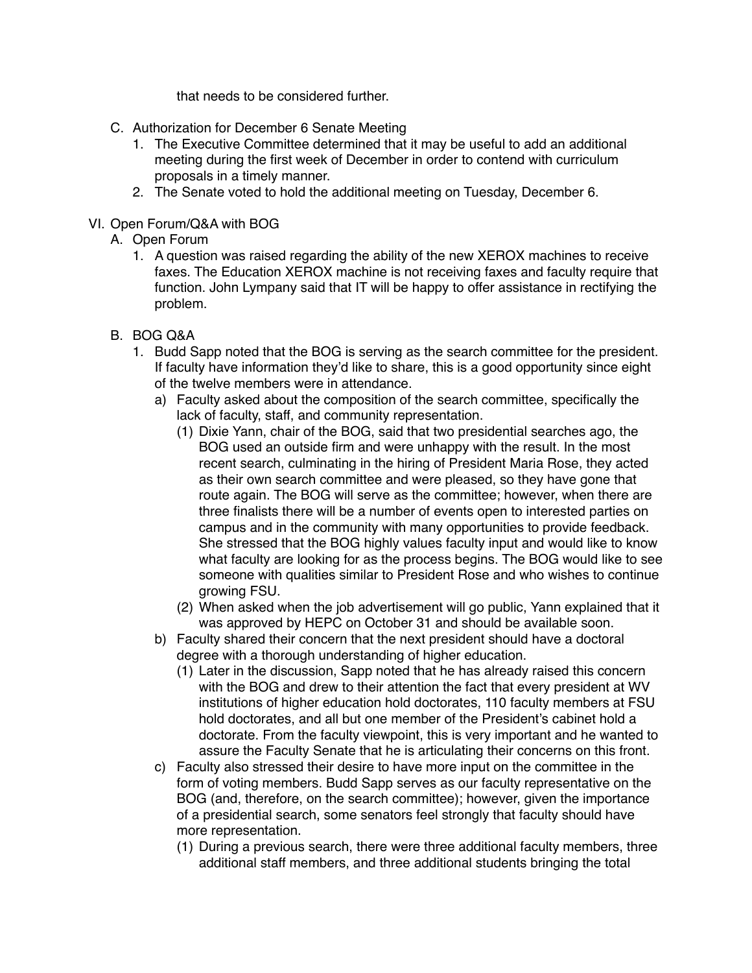that needs to be considered further.

- C. Authorization for December 6 Senate Meeting
	- 1. The Executive Committee determined that it may be useful to add an additional meeting during the first week of December in order to contend with curriculum proposals in a timely manner.
	- 2. The Senate voted to hold the additional meeting on Tuesday, December 6.

## VI. Open Forum/Q&A with BOG

- A. Open Forum
	- 1. A question was raised regarding the ability of the new XEROX machines to receive faxes. The Education XEROX machine is not receiving faxes and faculty require that function. John Lympany said that IT will be happy to offer assistance in rectifying the problem.
- B. BOG Q&A
	- 1. Budd Sapp noted that the BOG is serving as the search committee for the president. If faculty have information they'd like to share, this is a good opportunity since eight of the twelve members were in attendance.
		- a) Faculty asked about the composition of the search committee, specifically the lack of faculty, staff, and community representation.
			- (1) Dixie Yann, chair of the BOG, said that two presidential searches ago, the BOG used an outside firm and were unhappy with the result. In the most recent search, culminating in the hiring of President Maria Rose, they acted as their own search committee and were pleased, so they have gone that route again. The BOG will serve as the committee; however, when there are three finalists there will be a number of events open to interested parties on campus and in the community with many opportunities to provide feedback. She stressed that the BOG highly values faculty input and would like to know what faculty are looking for as the process begins. The BOG would like to see someone with qualities similar to President Rose and who wishes to continue growing FSU.
			- (2) When asked when the job advertisement will go public, Yann explained that it was approved by HEPC on October 31 and should be available soon.
		- b) Faculty shared their concern that the next president should have a doctoral degree with a thorough understanding of higher education.
			- (1) Later in the discussion, Sapp noted that he has already raised this concern with the BOG and drew to their attention the fact that every president at WV institutions of higher education hold doctorates, 110 faculty members at FSU hold doctorates, and all but one member of the President's cabinet hold a doctorate. From the faculty viewpoint, this is very important and he wanted to assure the Faculty Senate that he is articulating their concerns on this front.
		- c) Faculty also stressed their desire to have more input on the committee in the form of voting members. Budd Sapp serves as our faculty representative on the BOG (and, therefore, on the search committee); however, given the importance of a presidential search, some senators feel strongly that faculty should have more representation.
			- (1) During a previous search, there were three additional faculty members, three additional staff members, and three additional students bringing the total